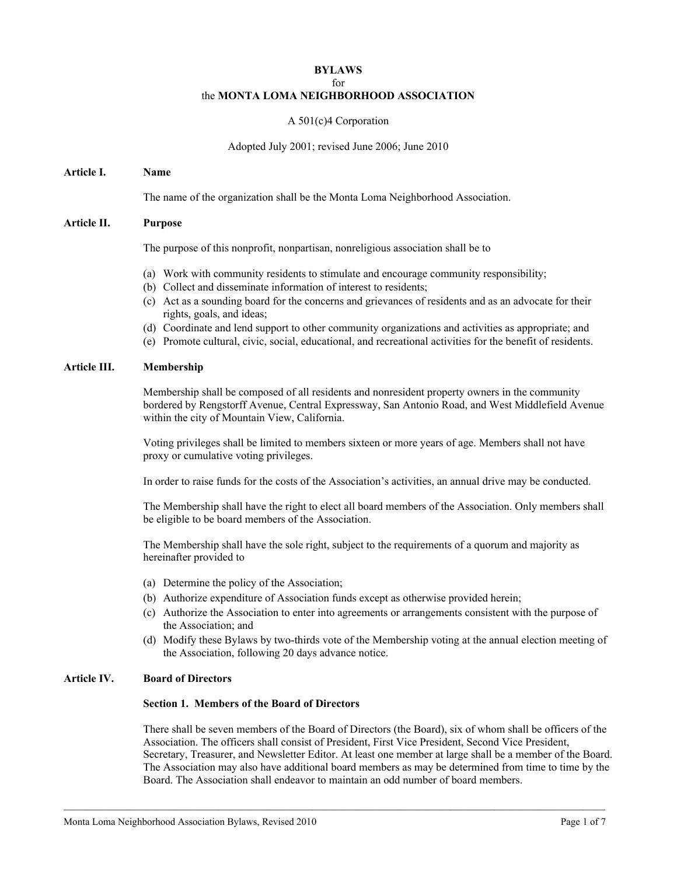#### **BYLAWS**

#### for

# the **MONTA LOMA NEIGHBORHOOD ASSOCIATION**

# A 501(c)4 Corporation

# Adopted July 2001; revised June 2006; June 2010

### **Article I. Name**

The name of the organization shall be the Monta Loma Neighborhood Association.

### **Article II. Purpose**

The purpose of this nonprofit, nonpartisan, nonreligious association shall be to

- (a) Work with community residents to stimulate and encourage community responsibility;
- (b) Collect and disseminate information of interest to residents;
- (c) Act as a sounding board for the concerns and grievances of residents and as an advocate for their rights, goals, and ideas;
- (d) Coordinate and lend support to other community organizations and activities as appropriate; and
- (e) Promote cultural, civic, social, educational, and recreational activities for the benefit of residents.

# **Article III. Membership**

Membership shall be composed of all residents and nonresident property owners in the community bordered by Rengstorff Avenue, Central Expressway, San Antonio Road, and West Middlefield Avenue within the city of Mountain View, California.

Voting privileges shall be limited to members sixteen or more years of age. Members shall not have proxy or cumulative voting privileges.

In order to raise funds for the costs of the Association's activities, an annual drive may be conducted.

The Membership shall have the right to elect all board members of the Association. Only members shall be eligible to be board members of the Association.

The Membership shall have the sole right, subject to the requirements of a quorum and majority as hereinafter provided to

- (a) Determine the policy of the Association;
- (b) Authorize expenditure of Association funds except as otherwise provided herein;
- (c) Authorize the Association to enter into agreements or arrangements consistent with the purpose of the Association; and
- (d) Modify these Bylaws by two-thirds vote of the Membership voting at the annual election meeting of the Association, following 20 days advance notice.

# **Article IV. Board of Directors**

### **Section 1. Members of the Board of Directors**

There shall be seven members of the Board of Directors (the Board), six of whom shall be officers of the Association. The officers shall consist of President, First Vice President, Second Vice President, Secretary, Treasurer, and Newsletter Editor. At least one member at large shall be a member of the Board. The Association may also have additional board members as may be determined from time to time by the Board. The Association shall endeavor to maintain an odd number of board members.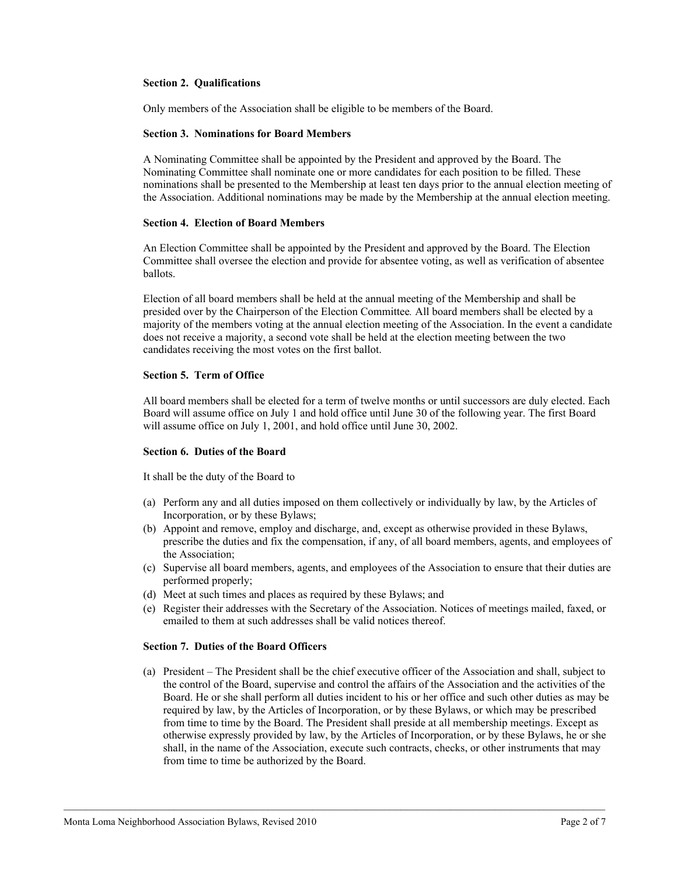## **Section 2. Qualifications**

Only members of the Association shall be eligible to be members of the Board.

#### **Section 3. Nominations for Board Members**

A Nominating Committee shall be appointed by the President and approved by the Board. The Nominating Committee shall nominate one or more candidates for each position to be filled. These nominations shall be presented to the Membership at least ten days prior to the annual election meeting of the Association. Additional nominations may be made by the Membership at the annual election meeting.

#### **Section 4. Election of Board Members**

An Election Committee shall be appointed by the President and approved by the Board. The Election Committee shall oversee the election and provide for absentee voting, as well as verification of absentee ballots.

Election of all board members shall be held at the annual meeting of the Membership and shall be presided over by the Chairperson of the Election Committee*.* All board members shall be elected by a majority of the members voting at the annual election meeting of the Association. In the event a candidate does not receive a majority, a second vote shall be held at the election meeting between the two candidates receiving the most votes on the first ballot.

#### **Section 5. Term of Office**

All board members shall be elected for a term of twelve months or until successors are duly elected. Each Board will assume office on July 1 and hold office until June 30 of the following year. The first Board will assume office on July 1, 2001, and hold office until June 30, 2002.

#### **Section 6. Duties of the Board**

It shall be the duty of the Board to

- (a) Perform any and all duties imposed on them collectively or individually by law, by the Articles of Incorporation, or by these Bylaws;
- (b) Appoint and remove, employ and discharge, and, except as otherwise provided in these Bylaws, prescribe the duties and fix the compensation, if any, of all board members, agents, and employees of the Association;
- (c) Supervise all board members, agents, and employees of the Association to ensure that their duties are performed properly;
- (d) Meet at such times and places as required by these Bylaws; and
- (e) Register their addresses with the Secretary of the Association. Notices of meetings mailed, faxed, or emailed to them at such addresses shall be valid notices thereof.

### **Section 7. Duties of the Board Officers**

(a) President – The President shall be the chief executive officer of the Association and shall, subject to the control of the Board, supervise and control the affairs of the Association and the activities of the Board. He or she shall perform all duties incident to his or her office and such other duties as may be required by law, by the Articles of Incorporation, or by these Bylaws, or which may be prescribed from time to time by the Board. The President shall preside at all membership meetings. Except as otherwise expressly provided by law, by the Articles of Incorporation, or by these Bylaws, he or she shall, in the name of the Association, execute such contracts, checks, or other instruments that may from time to time be authorized by the Board.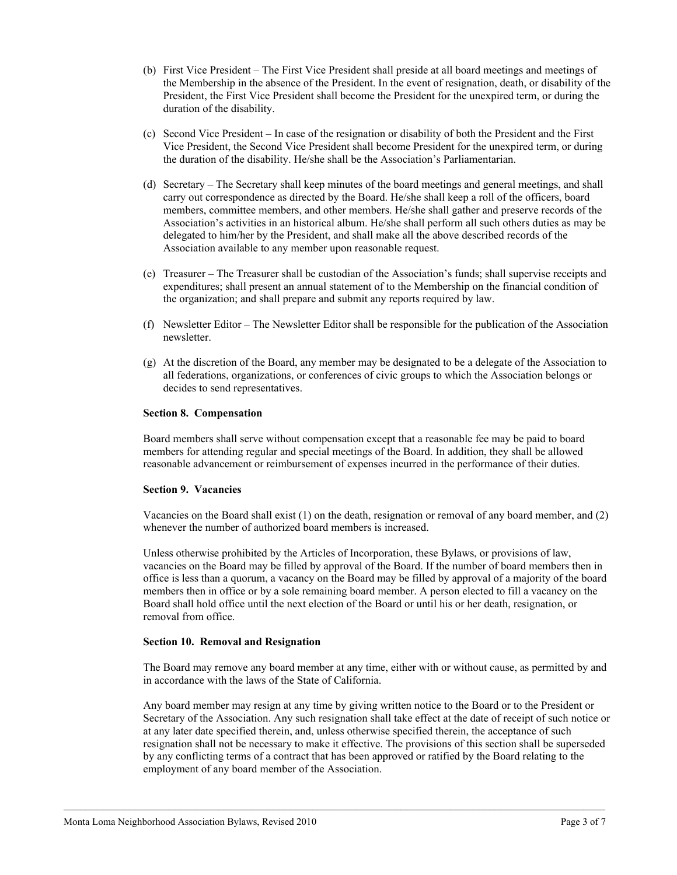- (b) First Vice President The First Vice President shall preside at all board meetings and meetings of the Membership in the absence of the President. In the event of resignation, death, or disability of the President, the First Vice President shall become the President for the unexpired term, or during the duration of the disability.
- (c) Second Vice President In case of the resignation or disability of both the President and the First Vice President, the Second Vice President shall become President for the unexpired term, or during the duration of the disability. He/she shall be the Association's Parliamentarian.
- (d) Secretary The Secretary shall keep minutes of the board meetings and general meetings, and shall carry out correspondence as directed by the Board. He/she shall keep a roll of the officers, board members, committee members, and other members. He/she shall gather and preserve records of the Association's activities in an historical album. He/she shall perform all such others duties as may be delegated to him/her by the President, and shall make all the above described records of the Association available to any member upon reasonable request.
- (e) Treasurer The Treasurer shall be custodian of the Association's funds; shall supervise receipts and expenditures; shall present an annual statement of to the Membership on the financial condition of the organization; and shall prepare and submit any reports required by law.
- (f) Newsletter Editor The Newsletter Editor shall be responsible for the publication of the Association newsletter.
- (g) At the discretion of the Board, any member may be designated to be a delegate of the Association to all federations, organizations, or conferences of civic groups to which the Association belongs or decides to send representatives.

# **Section 8. Compensation**

Board members shall serve without compensation except that a reasonable fee may be paid to board members for attending regular and special meetings of the Board. In addition, they shall be allowed reasonable advancement or reimbursement of expenses incurred in the performance of their duties.

# **Section 9. Vacancies**

Vacancies on the Board shall exist (1) on the death, resignation or removal of any board member, and (2) whenever the number of authorized board members is increased.

Unless otherwise prohibited by the Articles of Incorporation, these Bylaws, or provisions of law, vacancies on the Board may be filled by approval of the Board. If the number of board members then in office is less than a quorum, a vacancy on the Board may be filled by approval of a majority of the board members then in office or by a sole remaining board member. A person elected to fill a vacancy on the Board shall hold office until the next election of the Board or until his or her death, resignation, or removal from office.

#### **Section 10. Removal and Resignation**

The Board may remove any board member at any time, either with or without cause, as permitted by and in accordance with the laws of the State of California.

Any board member may resign at any time by giving written notice to the Board or to the President or Secretary of the Association. Any such resignation shall take effect at the date of receipt of such notice or at any later date specified therein, and, unless otherwise specified therein, the acceptance of such resignation shall not be necessary to make it effective. The provisions of this section shall be superseded by any conflicting terms of a contract that has been approved or ratified by the Board relating to the employment of any board member of the Association.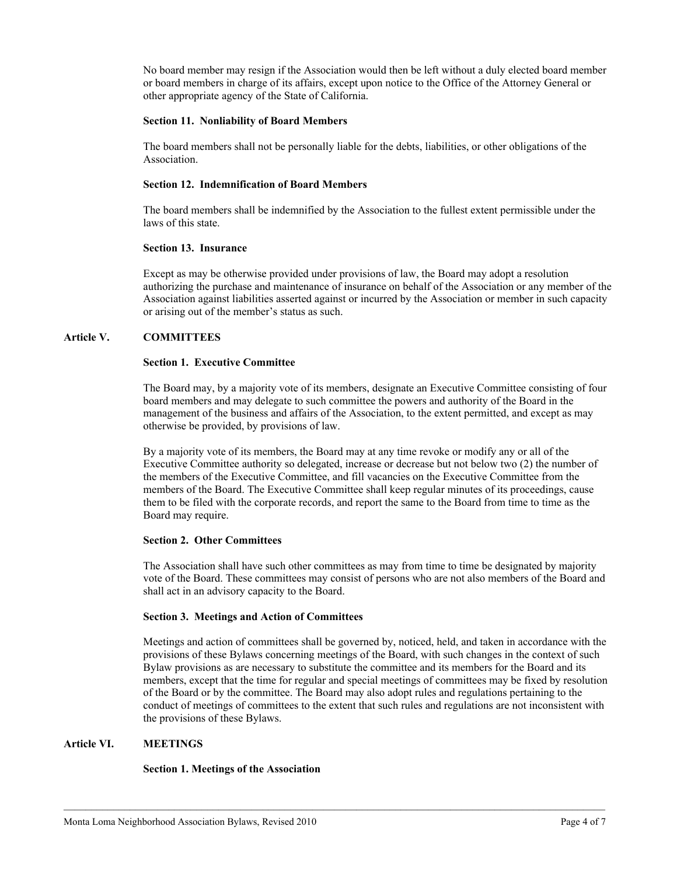No board member may resign if the Association would then be left without a duly elected board member or board members in charge of its affairs, except upon notice to the Office of the Attorney General or other appropriate agency of the State of California.

# **Section 11. Nonliability of Board Members**

The board members shall not be personally liable for the debts, liabilities, or other obligations of the Association.

### **Section 12. Indemnification of Board Members**

The board members shall be indemnified by the Association to the fullest extent permissible under the laws of this state.

### **Section 13. Insurance**

Except as may be otherwise provided under provisions of law, the Board may adopt a resolution authorizing the purchase and maintenance of insurance on behalf of the Association or any member of the Association against liabilities asserted against or incurred by the Association or member in such capacity or arising out of the member's status as such.

# **Article V. COMMITTEES**

# **Section 1. Executive Committee**

The Board may, by a majority vote of its members, designate an Executive Committee consisting of four board members and may delegate to such committee the powers and authority of the Board in the management of the business and affairs of the Association, to the extent permitted, and except as may otherwise be provided, by provisions of law.

By a majority vote of its members, the Board may at any time revoke or modify any or all of the Executive Committee authority so delegated, increase or decrease but not below two (2) the number of the members of the Executive Committee, and fill vacancies on the Executive Committee from the members of the Board. The Executive Committee shall keep regular minutes of its proceedings, cause them to be filed with the corporate records, and report the same to the Board from time to time as the Board may require.

# **Section 2. Other Committees**

The Association shall have such other committees as may from time to time be designated by majority vote of the Board. These committees may consist of persons who are not also members of the Board and shall act in an advisory capacity to the Board.

# **Section 3. Meetings and Action of Committees**

Meetings and action of committees shall be governed by, noticed, held, and taken in accordance with the provisions of these Bylaws concerning meetings of the Board, with such changes in the context of such Bylaw provisions as are necessary to substitute the committee and its members for the Board and its members, except that the time for regular and special meetings of committees may be fixed by resolution of the Board or by the committee. The Board may also adopt rules and regulations pertaining to the conduct of meetings of committees to the extent that such rules and regulations are not inconsistent with the provisions of these Bylaws.

# **Article VI. MEETINGS**

# **Section 1. Meetings of the Association**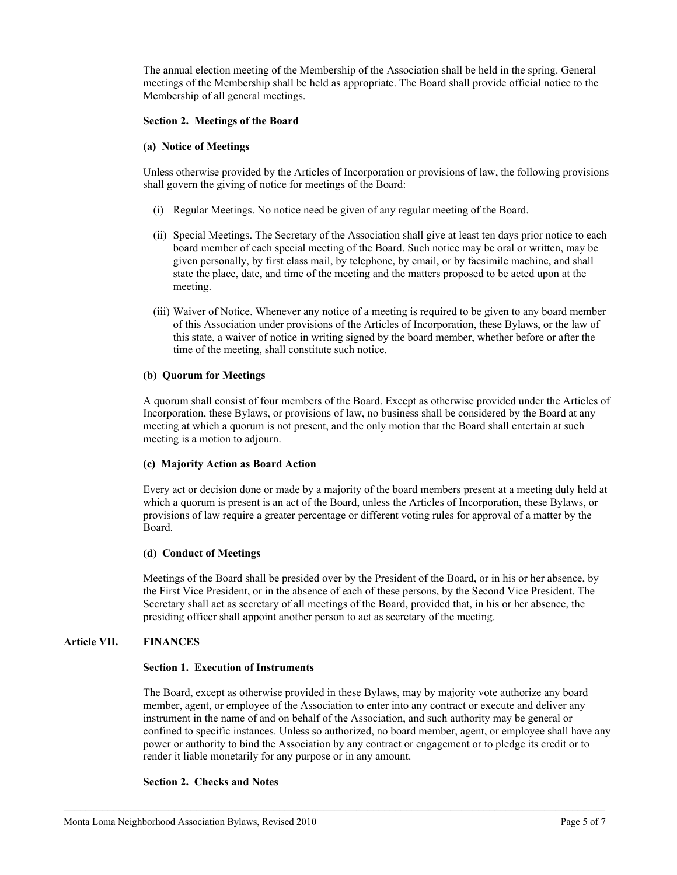The annual election meeting of the Membership of the Association shall be held in the spring. General meetings of the Membership shall be held as appropriate. The Board shall provide official notice to the Membership of all general meetings.

## **Section 2. Meetings of the Board**

### **(a) Notice of Meetings**

Unless otherwise provided by the Articles of Incorporation or provisions of law, the following provisions shall govern the giving of notice for meetings of the Board:

- (i) Regular Meetings. No notice need be given of any regular meeting of the Board.
- (ii) Special Meetings. The Secretary of the Association shall give at least ten days prior notice to each board member of each special meeting of the Board. Such notice may be oral or written, may be given personally, by first class mail, by telephone, by email, or by facsimile machine, and shall state the place, date, and time of the meeting and the matters proposed to be acted upon at the meeting.
- (iii) Waiver of Notice. Whenever any notice of a meeting is required to be given to any board member of this Association under provisions of the Articles of Incorporation, these Bylaws, or the law of this state, a waiver of notice in writing signed by the board member, whether before or after the time of the meeting, shall constitute such notice.

#### **(b) Quorum for Meetings**

A quorum shall consist of four members of the Board. Except as otherwise provided under the Articles of Incorporation, these Bylaws, or provisions of law, no business shall be considered by the Board at any meeting at which a quorum is not present, and the only motion that the Board shall entertain at such meeting is a motion to adjourn.

#### **(c) Majority Action as Board Action**

Every act or decision done or made by a majority of the board members present at a meeting duly held at which a quorum is present is an act of the Board, unless the Articles of Incorporation, these Bylaws, or provisions of law require a greater percentage or different voting rules for approval of a matter by the Board.

# **(d) Conduct of Meetings**

Meetings of the Board shall be presided over by the President of the Board, or in his or her absence, by the First Vice President, or in the absence of each of these persons, by the Second Vice President. The Secretary shall act as secretary of all meetings of the Board, provided that, in his or her absence, the presiding officer shall appoint another person to act as secretary of the meeting.

# **Article VII. FINANCES**

#### **Section 1. Execution of Instruments**

The Board, except as otherwise provided in these Bylaws, may by majority vote authorize any board member, agent, or employee of the Association to enter into any contract or execute and deliver any instrument in the name of and on behalf of the Association, and such authority may be general or confined to specific instances. Unless so authorized, no board member, agent, or employee shall have any power or authority to bind the Association by any contract or engagement or to pledge its credit or to render it liable monetarily for any purpose or in any amount.

# **Section 2. Checks and Notes**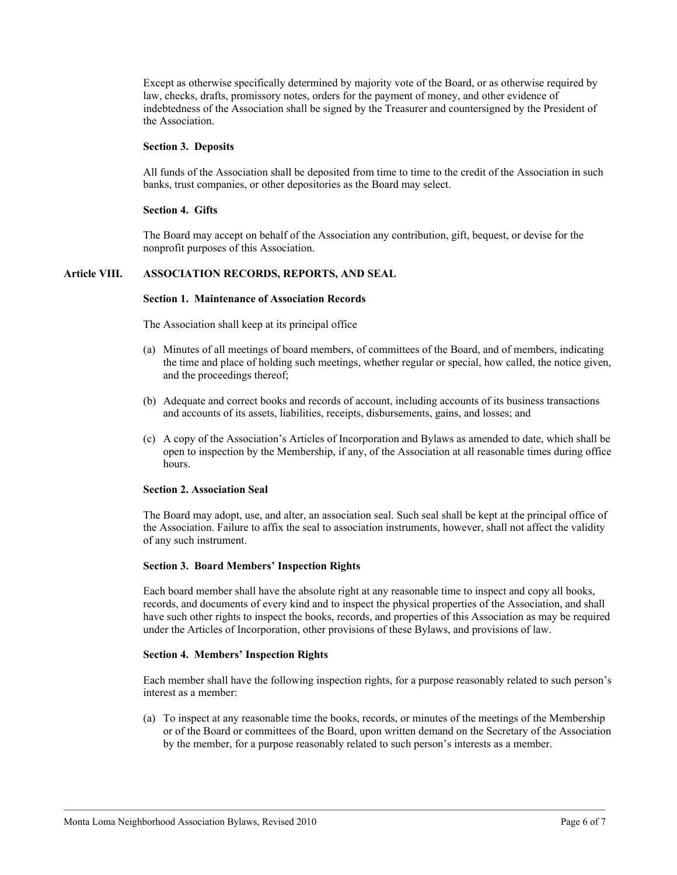Except as otherwise specifically determined by majority vote of the Board, or as otherwise required by law, checks, drafts, promissory notes, orders for the payment of money, and other evidence of indebtedness of the Association shall be signed by the Treasurer and countersigned by the President of the Association.

#### **Section 3. Deposits**

All funds of the Association shall be deposited from time to time to the credit of the Association in such banks, trust companies, or other depositories as the Board may select.

#### **Section 4. Gifts**

The Board may accept on behalf of the Association any contribution, gift, bequest, or devise for the nonprofit purposes of this Association.

## **Article VIII. ASSOCIATION RECORDS, REPORTS, AND SEAL**

#### **Section 1. Maintenance of Association Records**

The Association shall keep at its principal office

- (a) Minutes of all meetings of board members, of committees of the Board, and of members, indicating the time and place of holding such meetings, whether regular or special, how called, the notice given, and the proceedings thereof;
- (b) Adequate and correct books and records of account, including accounts of its business transactions and accounts of its assets, liabilities, receipts, disbursements, gains, and losses; and
- (c) A copy of the Association's Articles of Incorporation and Bylaws as amended to date, which shall be open to inspection by the Membership, if any, of the Association at all reasonable times during office hours.

#### **Section 2. Association Seal**

The Board may adopt, use, and alter, an association seal. Such seal shall be kept at the principal office of the Association. Failure to affix the seal to association instruments, however, shall not affect the validity of any such instrument.

#### **Section 3. Board Members' Inspection Rights**

Each board member shall have the absolute right at any reasonable time to inspect and copy all books, records, and documents of every kind and to inspect the physical properties of the Association, and shall have such other rights to inspect the books, records, and properties of this Association as may be required under the Articles of Incorporation, other provisions of these Bylaws, and provisions of law.

#### **Section 4. Members' Inspection Rights**

Each member shall have the following inspection rights, for a purpose reasonably related to such person's interest as a member:

(a) To inspect at any reasonable time the books, records, or minutes of the meetings of the Membership or of the Board or committees of the Board, upon written demand on the Secretary of the Association by the member, for a purpose reasonably related to such person's interests as a member.